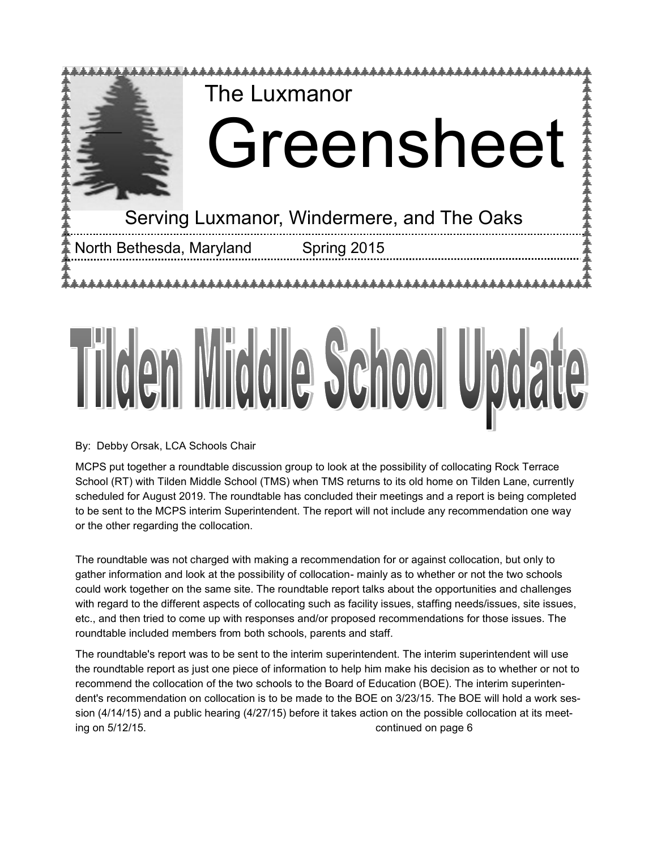

#### By: Debby Orsak, LCA Schools Chair

MCPS put together a roundtable discussion group to look at the possibility of collocating Rock Terrace School (RT) with Tilden Middle School (TMS) when TMS returns to its old home on Tilden Lane, currently scheduled for August 2019. The roundtable has concluded their meetings and a report is being completed to be sent to the MCPS interim Superintendent. The report will not include any recommendation one way or the other regarding the collocation.

The roundtable was not charged with making a recommendation for or against collocation, but only to gather information and look at the possibility of collocation- mainly as to whether or not the two schools could work together on the same site. The roundtable report talks about the opportunities and challenges with regard to the different aspects of collocating such as facility issues, staffing needs/issues, site issues, etc., and then tried to come up with responses and/or proposed recommendations for those issues. The roundtable included members from both schools, parents and staff.

The roundtable's report was to be sent to the interim superintendent. The interim superintendent will use the roundtable report as just one piece of information to help him make his decision as to whether or not to recommend the collocation of the two schools to the Board of Education (BOE). The interim superintendent's recommendation on collocation is to be made to the BOE on 3/23/15. The BOE will hold a work session (4/14/15) and a public hearing (4/27/15) before it takes action on the possible collocation at its meeting on 5/12/15. continued on page 6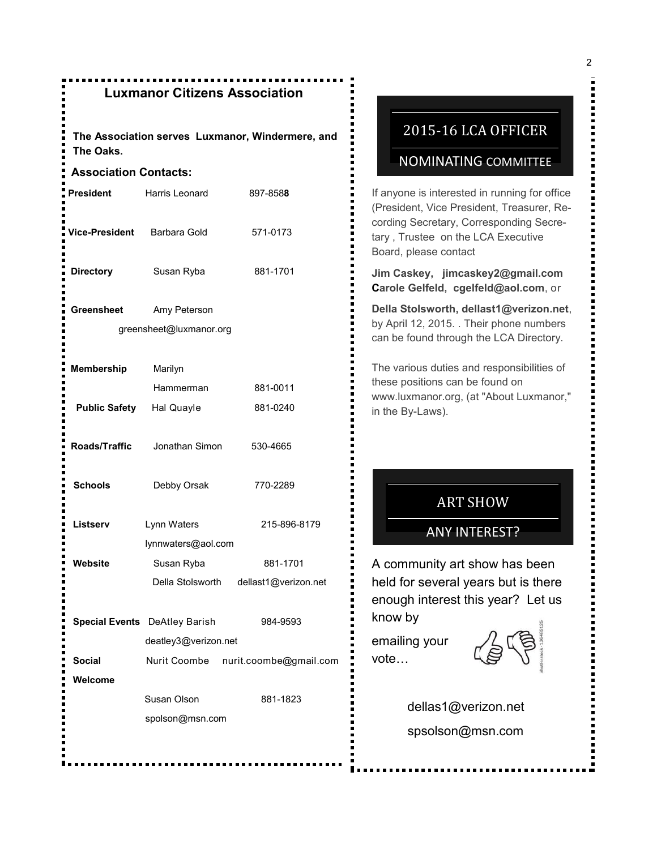## **Luxmanor Citizens Association**

**The Association serves Luxmanor, Windermere, and The Oaks.**

#### **Association Contacts:**

| <b>President</b>     | Harris Leonard                          | 897-8588                              |
|----------------------|-----------------------------------------|---------------------------------------|
| Vice-President       | Barbara Gold                            | 571-0173                              |
| <b>Directory</b>     | Susan Ryba                              | 881-1701                              |
| <b>Greensheet</b>    | Amy Peterson<br>greensheet@luxmanor.org |                                       |
| <b>Membership</b>    | Marilyn                                 |                                       |
|                      | Hammerman                               | 881-0011                              |
| <b>Public Safety</b> | Hal Quayle                              | 881-0240                              |
| Roads/Traffic        | Jonathan Simon                          | 530-4665                              |
| <b>Schools</b>       | Debby Orsak                             | 770-2289                              |
| Listserv             | Lynn Waters                             | 215-896-8179                          |
|                      | lynnwaters@aol.com                      |                                       |
| Website              | Susan Ryba                              | 881-1701                              |
|                      |                                         | Della Stolsworth dellast1@verizon.net |
|                      | <b>Special Events</b> DeAtley Barish    | 984-9593                              |
|                      | deatley3@verizon.net                    |                                       |
| <b>Social</b>        |                                         | Nurit Coombe nurit.coombe@gmail.com   |
| Welcome              |                                         |                                       |
|                      | Susan Olson                             | 881-1823                              |
|                      | spolson@msn.com                         |                                       |
|                      |                                         |                                       |

## 2015-16 LCA OFFICER

#### NOMINATING COMMITTEE

If anyone is interested in running for office (President, Vice President, Treasurer, Recording Secretary, Corresponding Secretary , Trustee on the LCA Executive Board, please contact

**Jim Caskey, jimcaskey2@gmail.com Carole Gelfeld, cgelfeld@aol.com**, or

**Della Stolsworth, dellast1@verizon.net**, by April 12, 2015. . Their phone numbers can be found through the LCA Directory.

The various duties and responsibilities of these positions can be found on www.luxmanor.org, (at "About Luxmanor," in the By-Laws).

## ART SHOW

#### ANY INTEREST?

A community art show has been held for several years but is there enough interest this year? Let us know by

emailing your vote…



 dellas1@verizon.net spsolson@msn.com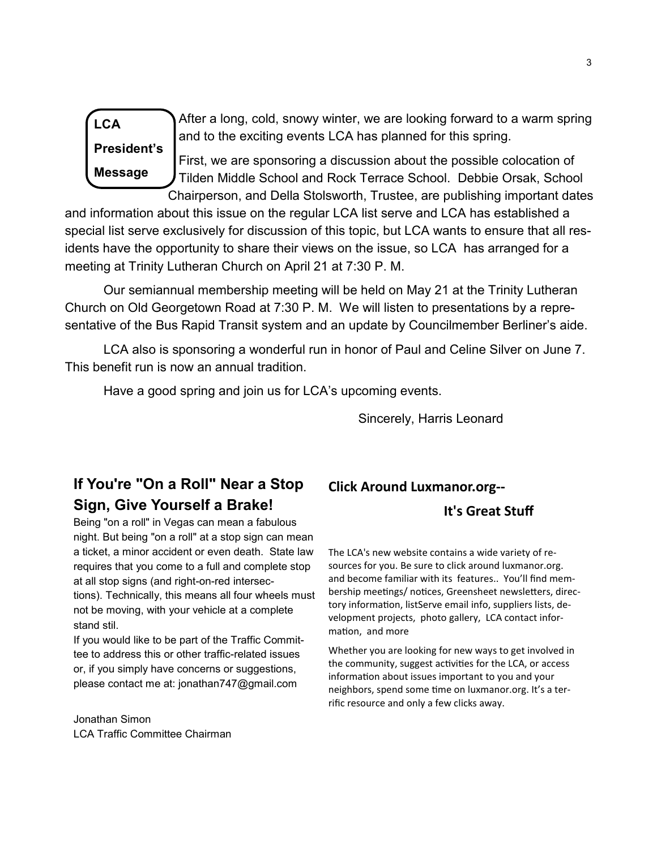**LCA**

**President's Message**

 After a long, cold, snowy winter, we are looking forward to a warm spring and to the exciting events LCA has planned for this spring.

First, we are sponsoring a discussion about the possible colocation of Tilden Middle School and Rock Terrace School. Debbie Orsak, School Chairperson, and Della Stolsworth, Trustee, are publishing important dates

and information about this issue on the regular LCA list serve and LCA has established a special list serve exclusively for discussion of this topic, but LCA wants to ensure that all residents have the opportunity to share their views on the issue, so LCA has arranged for a meeting at Trinity Lutheran Church on April 21 at 7:30 P. M.

Our semiannual membership meeting will be held on May 21 at the Trinity Lutheran Church on Old Georgetown Road at 7:30 P. M. We will listen to presentations by a representative of the Bus Rapid Transit system and an update by Councilmember Berliner's aide.

LCA also is sponsoring a wonderful run in honor of Paul and Celine Silver on June 7. This benefit run is now an annual tradition.

Have a good spring and join us for LCA's upcoming events.

Sincerely, Harris Leonard

# **If You're "On a Roll" Near a Stop Sign, Give Yourself a Brake!**

Being "on a roll" in Vegas can mean a fabulous night. But being "on a roll" at a stop sign can mean a ticket, a minor accident or even death. State law requires that you come to a full and complete stop at all stop signs (and right-on-red intersections). Technically, this means all four wheels must not be moving, with your vehicle at a complete stand stil.

If you would like to be part of the Traffic Committee to address this or other traffic-related issues or, if you simply have concerns or suggestions, please contact me at: jonathan747@gmail.com

Jonathan Simon LCA Traffic Committee Chairman

### **Click Around Luxmanor.org--**

#### **It's Great Stuff**

The LCA's new website contains a wide variety of resources for you. Be sure to click around luxmanor.org. and become familiar with its features.. You'll find membership meetings/ notices, Greensheet newsletters, directory information, listServe email info, suppliers lists, development projects, photo gallery, LCA contact information, and more

Whether you are looking for new ways to get involved in the community, suggest activities for the LCA, or access information about issues important to you and your neighbors, spend some time on luxmanor.org. It's a terrific resource and only a few clicks away.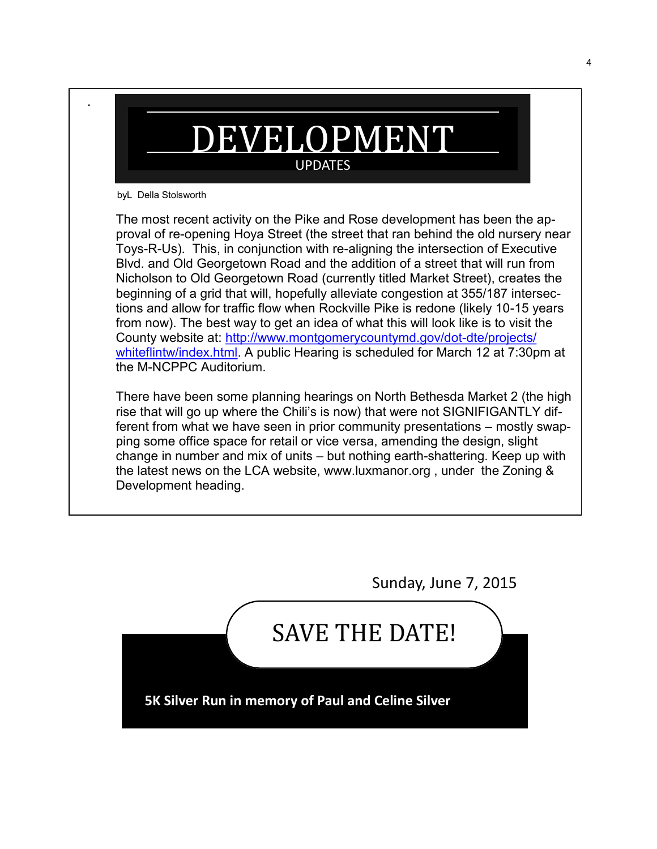

byL Della Stolsworth

.

The most recent activity on the Pike and Rose development has been the approval of re-opening Hoya Street (the street that ran behind the old nursery near Toys-R-Us). This, in conjunction with re-aligning the intersection of Executive Blvd. and Old Georgetown Road and the addition of a street that will run from Nicholson to Old Georgetown Road (currently titled Market Street), creates the beginning of a grid that will, hopefully alleviate congestion at 355/187 intersections and allow for traffic flow when Rockville Pike is redone (likely 10-15 years from now). The best way to get an idea of what this will look like is to visit the County website at: [http://www.montgomerycountymd.gov/dot](http://www.montgomerycountymd.gov/dot-dte/projects/whiteflintw/index.html)-dte/projects/ [whiteflintw/index.html.](http://www.montgomerycountymd.gov/dot-dte/projects/whiteflintw/index.html) A public Hearing is scheduled for March 12 at 7:30pm at the M-NCPPC Auditorium.

There have been some planning hearings on North Bethesda Market 2 (the high rise that will go up where the Chili's is now) that were not SIGNIFIGANTLY different from what we have seen in prior community presentations – mostly swapping some office space for retail or vice versa, amending the design, slight change in number and mix of units – but nothing earth-shattering. Keep up with the latest news on the LCA website, www.luxmanor.org , under the Zoning & Development heading.

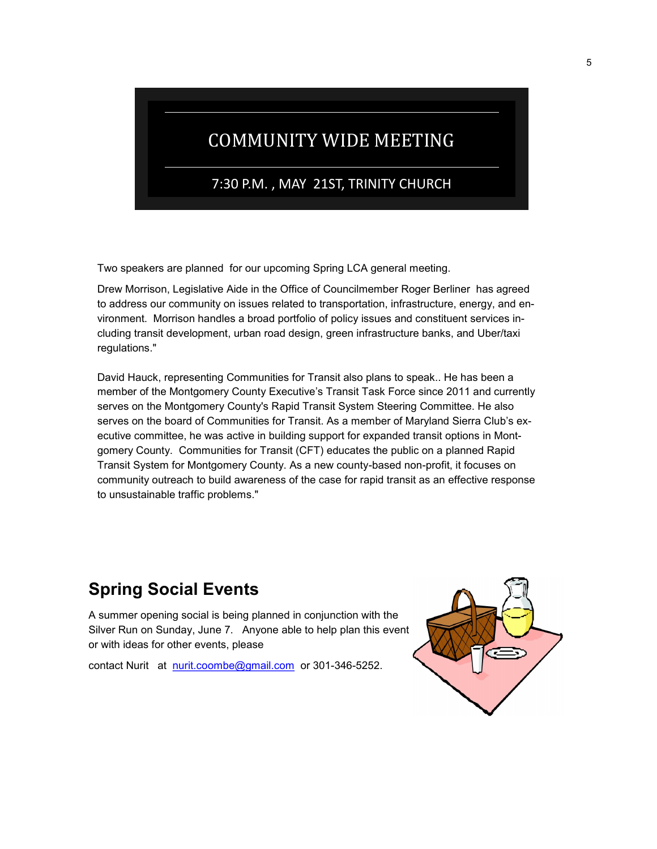# COMMUNITY WIDE MEETING

7:30 P.M. , MAY 21ST, TRINITY CHURCH

Two speakers are planned for our upcoming Spring LCA general meeting.

Drew Morrison, Legislative Aide in the Office of Councilmember Roger Berliner has agreed to address our community on issues related to transportation, infrastructure, energy, and environment. Morrison handles a broad portfolio of policy issues and constituent services including transit development, urban road design, green infrastructure banks, and Uber/taxi regulations."

David Hauck, representing Communities for Transit also plans to speak.. He has been a member of the Montgomery County Executive's Transit Task Force since 2011 and currently serves on the Montgomery County's Rapid Transit System Steering Committee. He also serves on the board of Communities for Transit. As a member of Maryland Sierra Club's executive committee, he was active in building support for expanded transit options in Montgomery County. Communities for Transit (CFT) educates the public on a planned Rapid Transit System for Montgomery County. As a new county-based non-profit, it focuses on community outreach to build awareness of the case for rapid transit as an effective response to unsustainable traffic problems."

# **Spring Social Events**

A summer opening social is being planned in conjunction with the Silver Run on Sunday, June 7. Anyone able to help plan this event or with ideas for other events, please

contact Nurit at [nurit.coombe@gmail.com](https://netmail.verizon.com/netmail/%22http:/mailto:nurit.coombe@gmail.com%22) or 301-346-5252.

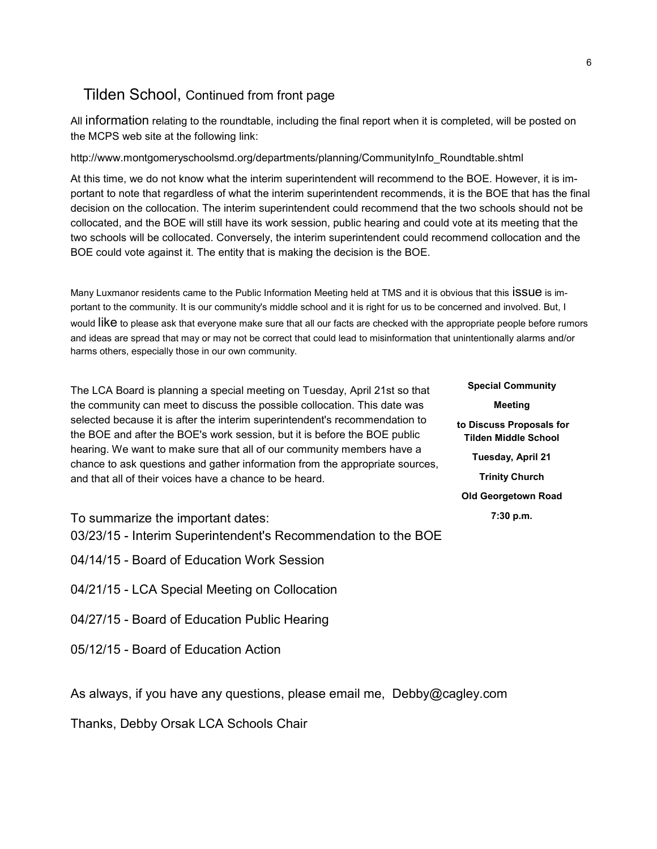## Tilden School, Continued from front page

All information relating to the roundtable, including the final report when it is completed, will be posted on the MCPS web site at the following link:

http://www.montgomeryschoolsmd.org/departments/planning/CommunityInfo\_Roundtable.shtml

At this time, we do not know what the interim superintendent will recommend to the BOE. However, it is important to note that regardless of what the interim superintendent recommends, it is the BOE that has the final decision on the collocation. The interim superintendent could recommend that the two schools should not be collocated, and the BOE will still have its work session, public hearing and could vote at its meeting that the two schools will be collocated. Conversely, the interim superintendent could recommend collocation and the BOE could vote against it. The entity that is making the decision is the BOE.

Many Luxmanor residents came to the Public Information Meeting held at TMS and it is obvious that this ISSUE is important to the community. It is our community's middle school and it is right for us to be concerned and involved. But, I would like to please ask that everyone make sure that all our facts are checked with the appropriate people before rumors and ideas are spread that may or may not be correct that could lead to misinformation that unintentionally alarms and/or harms others, especially those in our own community.

The LCA Board is planning a special meeting on Tuesday, April 21st so that the community can meet to discuss the possible collocation. This date was selected because it is after the interim superintendent's recommendation to the BOE and after the BOE's work session, but it is before the BOE public hearing. We want to make sure that all of our community members have a chance to ask questions and gather information from the appropriate sources, and that all of their voices have a chance to be heard.

To summarize the important dates:

- 03/23/15 Interim Superintendent's Recommendation to the BOE
- 04/14/15 Board of Education Work Session
- 04/21/15 LCA Special Meeting on Collocation
- 04/27/15 Board of Education Public Hearing
- 05/12/15 Board of Education Action

As always, if you have any questions, please email me, Debby@cagley.com

Thanks, Debby Orsak LCA Schools Chair

**Special Community Meeting to Discuss Proposals for Tilden Middle School Tuesday, April 21 Trinity Church Old Georgetown Road 7:30 p.m.**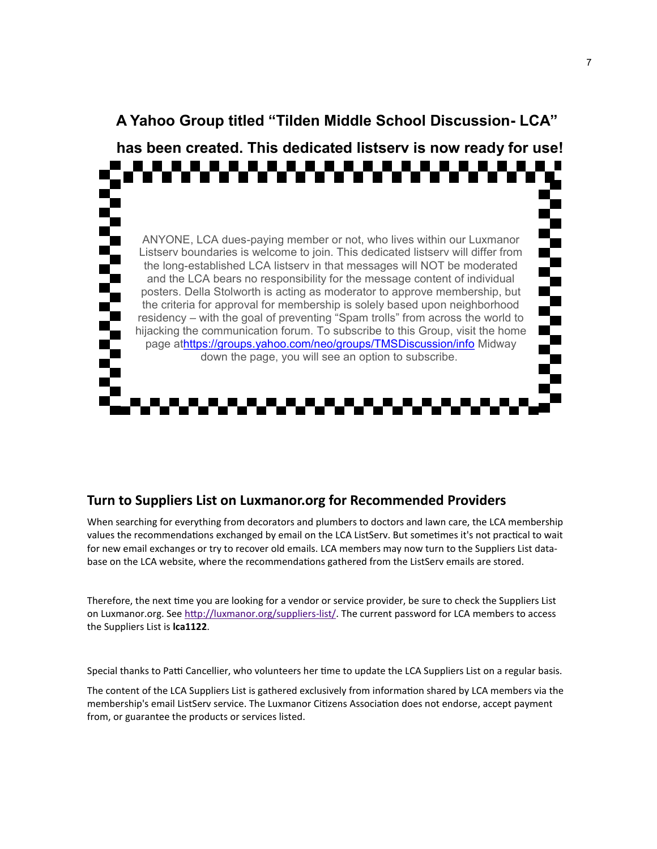

## **A Yahoo Group titled "Tilden Middle School Discussion- LCA"**

### **Turn to Suppliers List on Luxmanor.org for Recommended Providers**

When searching for everything from decorators and plumbers to doctors and lawn care, the LCA membership values the recommendations exchanged by email on the LCA ListServ. But sometimes it's not practical to wait for new email exchanges or try to recover old emails. LCA members may now turn to the Suppliers List database on the LCA website, where the recommendations gathered from the ListServ emails are stored.

Therefore, the next time you are looking for a vendor or service provider, be sure to check the Suppliers List on Luxmanor.org. See [http://luxmanor.org/suppliers](http://luxmanor.org/suppliers-list/)-list/. The current password for LCA members to access the Suppliers List is **lca1122**.

Special thanks to Patti Cancellier, who volunteers her time to update the LCA Suppliers List on a regular basis.

The content of the LCA Suppliers List is gathered exclusively from information shared by LCA members via the membership's email ListServ service. The Luxmanor Citizens Association does not endorse, accept payment from, or guarantee the products or services listed.